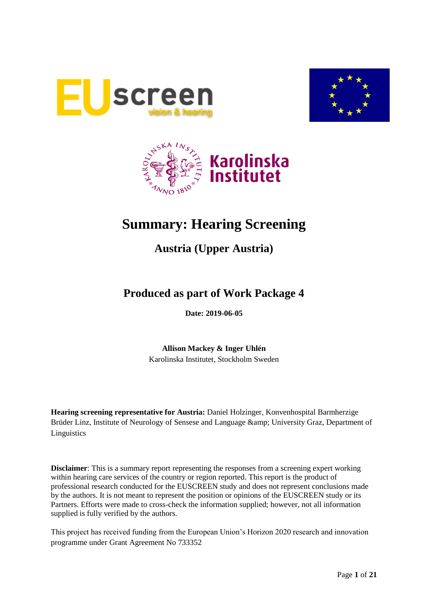





# **Summary: Hearing Screening**

# **Austria (Upper Austria)**

# **Produced as part of Work Package 4**

**Date: 2019-06-05**

**Allison Mackey & Inger Uhlén** Karolinska Institutet, Stockholm Sweden

**Hearing screening representative for Austria:** Daniel Holzinger, Konvenhospital Barmherzige Brüder Linz, Institute of Neurology of Sensese and Language & amp; University Graz, Department of Linguistics

**Disclaimer**: This is a summary report representing the responses from a screening expert working within hearing care services of the country or region reported. This report is the product of professional research conducted for the EUSCREEN study and does not represent conclusions made by the authors. It is not meant to represent the position or opinions of the EUSCREEN study or its Partners. Efforts were made to cross-check the information supplied; however, not all information supplied is fully verified by the authors.

This project has received funding from the European Union's Horizon 2020 research and innovation programme under Grant Agreement No 733352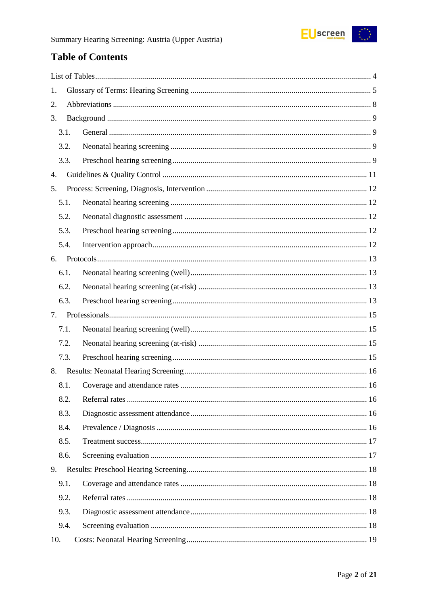

# **Table of Contents**

| 1.   |  |
|------|--|
| 2.   |  |
| 3.   |  |
| 3.1. |  |
| 3.2. |  |
| 3.3. |  |
| 4.   |  |
| 5.   |  |
| 5.1. |  |
| 5.2. |  |
| 5.3. |  |
| 5.4. |  |
| 6.   |  |
| 6.1. |  |
| 6.2. |  |
| 6.3. |  |
| 7.   |  |
| 7.1. |  |
| 7.2. |  |
| 7.3. |  |
| 8.   |  |
| 8.1. |  |
| 8.2. |  |
| 8.3. |  |
| 8.4. |  |
| 8.5. |  |
| 8.6. |  |
| 9.   |  |
| 9.1. |  |
| 9.2. |  |
| 9.3. |  |
| 9.4. |  |
| 10.  |  |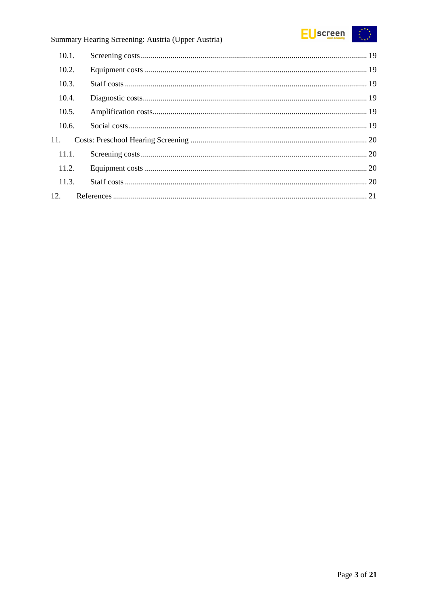

# Summary Hearing Screening: Austria (Upper Austria)

| 10.1. |  |
|-------|--|
| 10.2. |  |
| 10.3. |  |
| 10.4. |  |
| 10.5. |  |
| 10.6. |  |
| 11.   |  |
| 11.1. |  |
| 11.2. |  |
| 11.3. |  |
| 12.   |  |
|       |  |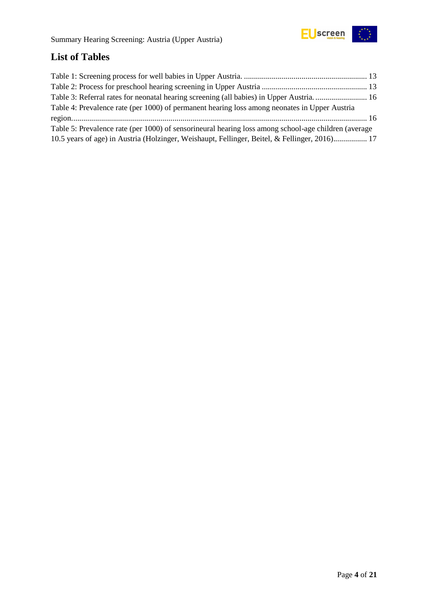

# <span id="page-3-0"></span>**List of Tables**

| Table 3: Referral rates for neonatal hearing screening (all babies) in Upper Austria 16              |  |
|------------------------------------------------------------------------------------------------------|--|
| Table 4: Prevalence rate (per 1000) of permanent hearing loss among neonates in Upper Austria        |  |
|                                                                                                      |  |
| Table 5: Prevalence rate (per 1000) of sensorineural hearing loss among school-age children (average |  |
| 10.5 years of age) in Austria (Holzinger, Weishaupt, Fellinger, Beitel, & Fellinger, 2016) 17        |  |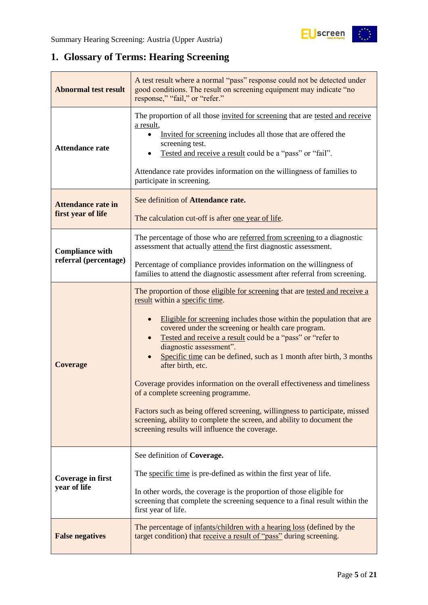

# <span id="page-4-0"></span>**1. Glossary of Terms: Hearing Screening**

| <b>Abnormal test result</b>                     | A test result where a normal "pass" response could not be detected under<br>good conditions. The result on screening equipment may indicate "no<br>response," "fail," or "refer."                                                                                                                                                                                                                                                                                                                                                                                                                                                                                                                                                                                |  |  |  |
|-------------------------------------------------|------------------------------------------------------------------------------------------------------------------------------------------------------------------------------------------------------------------------------------------------------------------------------------------------------------------------------------------------------------------------------------------------------------------------------------------------------------------------------------------------------------------------------------------------------------------------------------------------------------------------------------------------------------------------------------------------------------------------------------------------------------------|--|--|--|
| <b>Attendance rate</b>                          | The proportion of all those invited for screening that are tested and receive<br>a result,<br>Invited for screening includes all those that are offered the<br>screening test.<br>Tested and receive a result could be a "pass" or "fail".<br>Attendance rate provides information on the willingness of families to<br>participate in screening.                                                                                                                                                                                                                                                                                                                                                                                                                |  |  |  |
| <b>Attendance rate in</b><br>first year of life | See definition of Attendance rate.<br>The calculation cut-off is after one year of life.                                                                                                                                                                                                                                                                                                                                                                                                                                                                                                                                                                                                                                                                         |  |  |  |
| <b>Compliance with</b><br>referral (percentage) | The percentage of those who are referred from screening to a diagnostic<br>assessment that actually attend the first diagnostic assessment.                                                                                                                                                                                                                                                                                                                                                                                                                                                                                                                                                                                                                      |  |  |  |
|                                                 | Percentage of compliance provides information on the willingness of<br>families to attend the diagnostic assessment after referral from screening.                                                                                                                                                                                                                                                                                                                                                                                                                                                                                                                                                                                                               |  |  |  |
| <b>Coverage</b>                                 | The proportion of those eligible for screening that are tested and receive a<br>result within a specific time.<br>Eligible for screening includes those within the population that are<br>covered under the screening or health care program.<br>Tested and receive a result could be a "pass" or "refer to<br>diagnostic assessment".<br>Specific time can be defined, such as 1 month after birth, 3 months<br>after birth, etc.<br>Coverage provides information on the overall effectiveness and timeliness<br>of a complete screening programme.<br>Factors such as being offered screening, willingness to participate, missed<br>screening, ability to complete the screen, and ability to document the<br>screening results will influence the coverage. |  |  |  |
| Coverage in first<br>year of life               | See definition of Coverage.<br>The specific time is pre-defined as within the first year of life.<br>In other words, the coverage is the proportion of those eligible for<br>screening that complete the screening sequence to a final result within the<br>first year of life.                                                                                                                                                                                                                                                                                                                                                                                                                                                                                  |  |  |  |
| <b>False negatives</b>                          | The percentage of infants/children with a hearing loss (defined by the<br>target condition) that receive a result of "pass" during screening.                                                                                                                                                                                                                                                                                                                                                                                                                                                                                                                                                                                                                    |  |  |  |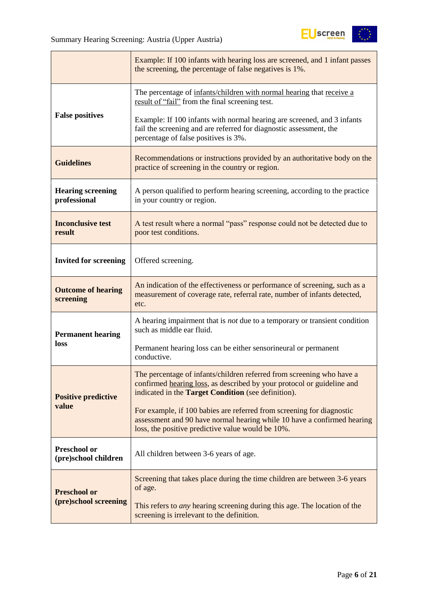

|                                          | Example: If 100 infants with hearing loss are screened, and 1 infant passes<br>the screening, the percentage of false negatives is 1%.                                                                        |  |  |
|------------------------------------------|---------------------------------------------------------------------------------------------------------------------------------------------------------------------------------------------------------------|--|--|
|                                          | The percentage of infants/children with normal hearing that receive a<br>result of "fail" from the final screening test.                                                                                      |  |  |
| <b>False positives</b>                   | Example: If 100 infants with normal hearing are screened, and 3 infants<br>fail the screening and are referred for diagnostic assessment, the<br>percentage of false positives is 3%.                         |  |  |
| <b>Guidelines</b>                        | Recommendations or instructions provided by an authoritative body on the<br>practice of screening in the country or region.                                                                                   |  |  |
| <b>Hearing screening</b><br>professional | A person qualified to perform hearing screening, according to the practice<br>in your country or region.                                                                                                      |  |  |
| <b>Inconclusive test</b><br>result       | A test result where a normal "pass" response could not be detected due to<br>poor test conditions.                                                                                                            |  |  |
| <b>Invited for screening</b>             | Offered screening.                                                                                                                                                                                            |  |  |
| <b>Outcome of hearing</b><br>screening   | An indication of the effectiveness or performance of screening, such as a<br>measurement of coverage rate, referral rate, number of infants detected,<br>etc.                                                 |  |  |
| <b>Permanent hearing</b>                 | A hearing impairment that is <i>not</i> due to a temporary or transient condition<br>such as middle ear fluid.                                                                                                |  |  |
| loss                                     | Permanent hearing loss can be either sensorineural or permanent<br>conductive.                                                                                                                                |  |  |
| <b>Positive predictive</b>               | The percentage of infants/children referred from screening who have a<br>confirmed hearing loss, as described by your protocol or guideline and<br>indicated in the <b>Target Condition</b> (see definition). |  |  |
| value                                    | For example, if 100 babies are referred from screening for diagnostic<br>assessment and 90 have normal hearing while 10 have a confirmed hearing<br>loss, the positive predictive value would be 10%.         |  |  |
| Preschool or<br>(pre)school children     | All children between 3-6 years of age.                                                                                                                                                                        |  |  |
| <b>Preschool or</b>                      | Screening that takes place during the time children are between 3-6 years<br>of age.                                                                                                                          |  |  |
| (pre)school screening                    | This refers to <i>any</i> hearing screening during this age. The location of the<br>screening is irrelevant to the definition.                                                                                |  |  |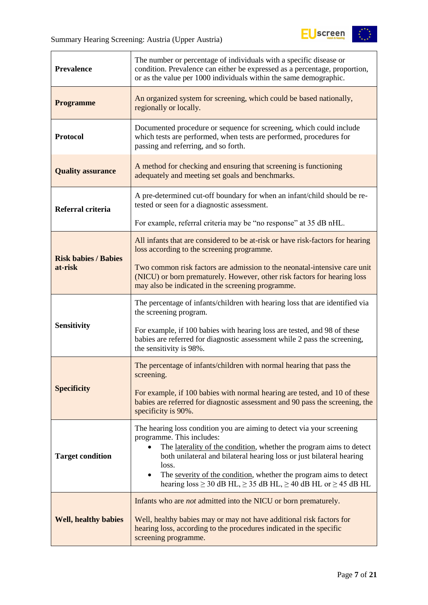| <b>Prevalence</b>                                                                                                                                                                                                                                                                                                                                                                                                                            | The number or percentage of individuals with a specific disease or<br>condition. Prevalence can either be expressed as a percentage, proportion,<br>or as the value per 1000 individuals within the same demographic. |  |  |  |
|----------------------------------------------------------------------------------------------------------------------------------------------------------------------------------------------------------------------------------------------------------------------------------------------------------------------------------------------------------------------------------------------------------------------------------------------|-----------------------------------------------------------------------------------------------------------------------------------------------------------------------------------------------------------------------|--|--|--|
| <b>Programme</b>                                                                                                                                                                                                                                                                                                                                                                                                                             | An organized system for screening, which could be based nationally,<br>regionally or locally.                                                                                                                         |  |  |  |
| <b>Protocol</b>                                                                                                                                                                                                                                                                                                                                                                                                                              | Documented procedure or sequence for screening, which could include<br>which tests are performed, when tests are performed, procedures for<br>passing and referring, and so forth.                                    |  |  |  |
| <b>Quality assurance</b>                                                                                                                                                                                                                                                                                                                                                                                                                     | A method for checking and ensuring that screening is functioning<br>adequately and meeting set goals and benchmarks.                                                                                                  |  |  |  |
| Referral criteria                                                                                                                                                                                                                                                                                                                                                                                                                            | A pre-determined cut-off boundary for when an infant/child should be re-<br>tested or seen for a diagnostic assessment.                                                                                               |  |  |  |
|                                                                                                                                                                                                                                                                                                                                                                                                                                              | For example, referral criteria may be "no response" at 35 dB nHL.                                                                                                                                                     |  |  |  |
| <b>Risk babies / Babies</b>                                                                                                                                                                                                                                                                                                                                                                                                                  | All infants that are considered to be at-risk or have risk-factors for hearing<br>loss according to the screening programme.                                                                                          |  |  |  |
| at-risk                                                                                                                                                                                                                                                                                                                                                                                                                                      | Two common risk factors are admission to the neonatal-intensive care unit<br>(NICU) or born prematurely. However, other risk factors for hearing loss<br>may also be indicated in the screening programme.            |  |  |  |
|                                                                                                                                                                                                                                                                                                                                                                                                                                              | The percentage of infants/children with hearing loss that are identified via<br>the screening program.                                                                                                                |  |  |  |
| <b>Sensitivity</b>                                                                                                                                                                                                                                                                                                                                                                                                                           | For example, if 100 babies with hearing loss are tested, and 98 of these<br>babies are referred for diagnostic assessment while 2 pass the screening,<br>the sensitivity is 98%.                                      |  |  |  |
|                                                                                                                                                                                                                                                                                                                                                                                                                                              | The percentage of infants/children with normal hearing that pass the<br>screening.                                                                                                                                    |  |  |  |
| <b>Specificity</b>                                                                                                                                                                                                                                                                                                                                                                                                                           | For example, if 100 babies with normal hearing are tested, and 10 of these<br>babies are referred for diagnostic assessment and 90 pass the screening, the<br>specificity is 90%.                                     |  |  |  |
| The hearing loss condition you are aiming to detect via your screening<br>programme. This includes:<br>The laterality of the condition, whether the program aims to detect<br><b>Target condition</b><br>both unilateral and bilateral hearing loss or just bilateral hearing<br>loss.<br>The severity of the condition, whether the program aims to detect<br>hearing $loss \ge 30$ dB HL, $\ge 35$ dB HL, $\ge 40$ dB HL or $\ge 45$ dB HL |                                                                                                                                                                                                                       |  |  |  |
| Infants who are <i>not</i> admitted into the NICU or born prematurely.<br><b>Well, healthy babies</b><br>Well, healthy babies may or may not have additional risk factors for<br>hearing loss, according to the procedures indicated in the specific<br>screening programme.                                                                                                                                                                 |                                                                                                                                                                                                                       |  |  |  |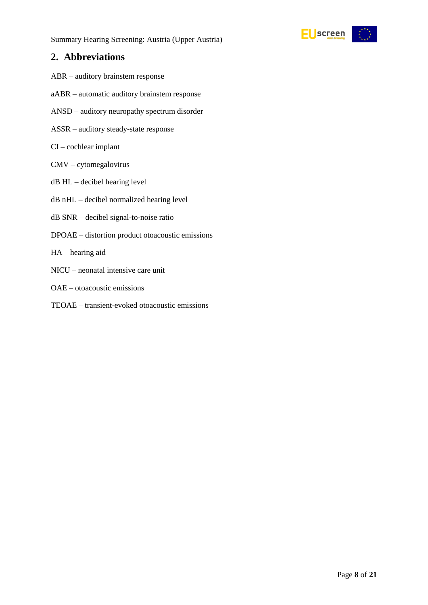

## <span id="page-7-0"></span>**2. Abbreviations**

- ABR auditory brainstem response
- aABR automatic auditory brainstem response
- ANSD auditory neuropathy spectrum disorder
- ASSR auditory steady-state response
- CI cochlear implant
- CMV cytomegalovirus
- dB HL decibel hearing level
- dB nHL decibel normalized hearing level
- dB SNR decibel signal-to-noise ratio
- DPOAE distortion product otoacoustic emissions
- HA hearing aid
- NICU neonatal intensive care unit
- OAE otoacoustic emissions
- TEOAE transient-evoked otoacoustic emissions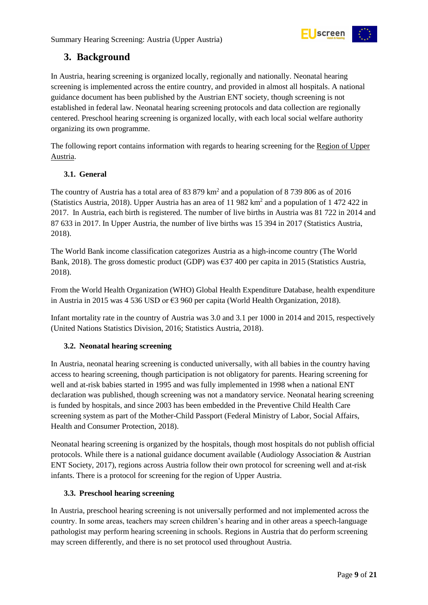

# <span id="page-8-0"></span>**3. Background**

In Austria, hearing screening is organized locally, regionally and nationally. Neonatal hearing screening is implemented across the entire country, and provided in almost all hospitals. A national guidance document has been published by the Austrian ENT society, though screening is not established in federal law. Neonatal hearing screening protocols and data collection are regionally centered. Preschool hearing screening is organized locally, with each local social welfare authority organizing its own programme.

The following report contains information with regards to hearing screening for the Region of Upper Austria.

#### <span id="page-8-1"></span>**3.1. General**

The country of Austria has a total area of 83 879  $km<sup>2</sup>$  and a population of 8 739 806 as of 2016 (Statistics Austria, 2018). Upper Austria has an area of 11 982  $km^2$  and a population of 1 472 422 in 2017. In Austria, each birth is registered. The number of live births in Austria was 81 722 in 2014 and 87 633 in 2017. In Upper Austria, the number of live births was 15 394 in 2017 (Statistics Austria, 2018).

The World Bank income classification categorizes Austria as a high-income country (The World Bank, 2018). The gross domestic product (GDP) was  $\epsilon$ 37 400 per capita in 2015 (Statistics Austria, 2018).

From the World Health Organization (WHO) Global Health Expenditure Database, health expenditure in Austria in 2015 was 4 536 USD or  $63\,960$  per capita (World Health Organization, 2018).

Infant mortality rate in the country of Austria was 3.0 and 3.1 per 1000 in 2014 and 2015, respectively (United Nations Statistics Division, 2016; Statistics Austria, 2018).

#### <span id="page-8-2"></span>**3.2. Neonatal hearing screening**

In Austria, neonatal hearing screening is conducted universally, with all babies in the country having access to hearing screening, though participation is not obligatory for parents. Hearing screening for well and at-risk babies started in 1995 and was fully implemented in 1998 when a national ENT declaration was published, though screening was not a mandatory service. Neonatal hearing screening is funded by hospitals, and since 2003 has been embedded in the Preventive Child Health Care screening system as part of the Mother-Child Passport (Federal Ministry of Labor, Social Affairs, Health and Consumer Protection, 2018).

Neonatal hearing screening is organized by the hospitals, though most hospitals do not publish official protocols. While there is a national guidance document available (Audiology Association & Austrian ENT Society, 2017), regions across Austria follow their own protocol for screening well and at-risk infants. There is a protocol for screening for the region of Upper Austria.

#### <span id="page-8-3"></span>**3.3. Preschool hearing screening**

In Austria, preschool hearing screening is not universally performed and not implemented across the country. In some areas, teachers may screen children's hearing and in other areas a speech-language pathologist may perform hearing screening in schools. Regions in Austria that do perform screening may screen differently, and there is no set protocol used throughout Austria.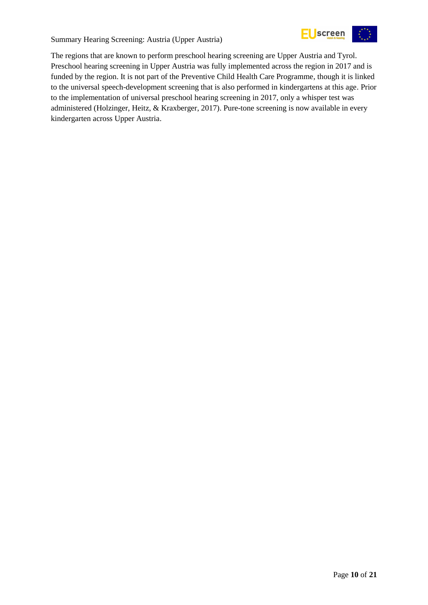

Summary Hearing Screening: Austria (Upper Austria)

The regions that are known to perform preschool hearing screening are Upper Austria and Tyrol. Preschool hearing screening in Upper Austria was fully implemented across the region in 2017 and is funded by the region. It is not part of the Preventive Child Health Care Programme, though it is linked to the universal speech-development screening that is also performed in kindergartens at this age. Prior to the implementation of universal preschool hearing screening in 2017, only a whisper test was administered (Holzinger, Heitz, & Kraxberger, 2017). Pure-tone screening is now available in every kindergarten across Upper Austria.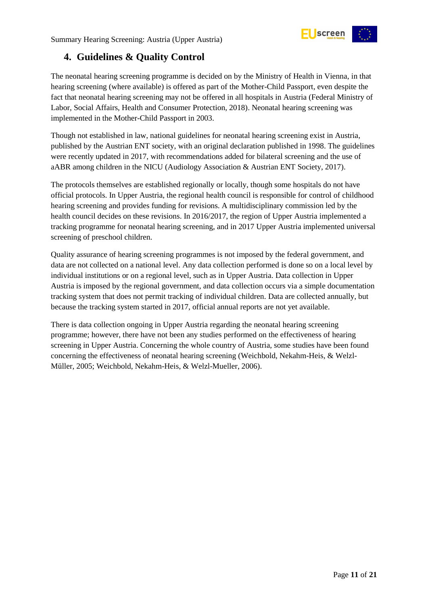<span id="page-10-0"></span>

The neonatal hearing screening programme is decided on by the Ministry of Health in Vienna, in that hearing screening (where available) is offered as part of the Mother-Child Passport, even despite the fact that neonatal hearing screening may not be offered in all hospitals in Austria (Federal Ministry of Labor, Social Affairs, Health and Consumer Protection, 2018). Neonatal hearing screening was implemented in the Mother-Child Passport in 2003.

Though not established in law, national guidelines for neonatal hearing screening exist in Austria, published by the Austrian ENT society, with an original declaration published in 1998. The guidelines were recently updated in 2017, with recommendations added for bilateral screening and the use of aABR among children in the NICU (Audiology Association & Austrian ENT Society, 2017).

The protocols themselves are established regionally or locally, though some hospitals do not have official protocols. In Upper Austria, the regional health council is responsible for control of childhood hearing screening and provides funding for revisions. A multidisciplinary commission led by the health council decides on these revisions. In 2016/2017, the region of Upper Austria implemented a tracking programme for neonatal hearing screening, and in 2017 Upper Austria implemented universal screening of preschool children.

Quality assurance of hearing screening programmes is not imposed by the federal government, and data are not collected on a national level. Any data collection performed is done so on a local level by individual institutions or on a regional level, such as in Upper Austria. Data collection in Upper Austria is imposed by the regional government, and data collection occurs via a simple documentation tracking system that does not permit tracking of individual children. Data are collected annually, but because the tracking system started in 2017, official annual reports are not yet available.

There is data collection ongoing in Upper Austria regarding the neonatal hearing screening programme; however, there have not been any studies performed on the effectiveness of hearing screening in Upper Austria. Concerning the whole country of Austria, some studies have been found concerning the effectiveness of neonatal hearing screening (Weichbold, Nekahm-Heis, & Welzl-Müller, 2005; Weichbold, Nekahm-Heis, & Welzl-Mueller, 2006).

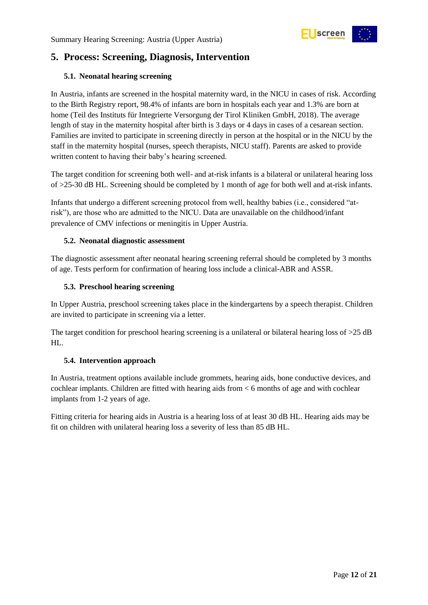

# <span id="page-11-0"></span>**5. Process: Screening, Diagnosis, Intervention**

#### <span id="page-11-1"></span>**5.1. Neonatal hearing screening**

In Austria, infants are screened in the hospital maternity ward, in the NICU in cases of risk. According to the Birth Registry report, 98.4% of infants are born in hospitals each year and 1.3% are born at home (Teil des Instituts für Integrierte Versorgung der Tirol Kliniken GmbH, 2018). The average length of stay in the maternity hospital after birth is 3 days or 4 days in cases of a cesarean section. Families are invited to participate in screening directly in person at the hospital or in the NICU by the staff in the maternity hospital (nurses, speech therapists, NICU staff). Parents are asked to provide written content to having their baby's hearing screened.

The target condition for screening both well- and at-risk infants is a bilateral or unilateral hearing loss of >25-30 dB HL. Screening should be completed by 1 month of age for both well and at-risk infants.

Infants that undergo a different screening protocol from well, healthy babies (i.e., considered "atrisk"), are those who are admitted to the NICU. Data are unavailable on the childhood/infant prevalence of CMV infections or meningitis in Upper Austria.

#### <span id="page-11-2"></span>**5.2. Neonatal diagnostic assessment**

The diagnostic assessment after neonatal hearing screening referral should be completed by 3 months of age. Tests perform for confirmation of hearing loss include a clinical-ABR and ASSR.

#### <span id="page-11-3"></span>**5.3. Preschool hearing screening**

In Upper Austria, preschool screening takes place in the kindergartens by a speech therapist. Children are invited to participate in screening via a letter.

The target condition for preschool hearing screening is a unilateral or bilateral hearing loss of  $>25$  dB HL.

#### <span id="page-11-4"></span>**5.4. Intervention approach**

In Austria, treatment options available include grommets, hearing aids, bone conductive devices, and cochlear implants. Children are fitted with hearing aids from < 6 months of age and with cochlear implants from 1-2 years of age.

Fitting criteria for hearing aids in Austria is a hearing loss of at least 30 dB HL. Hearing aids may be fit on children with unilateral hearing loss a severity of less than 85 dB HL.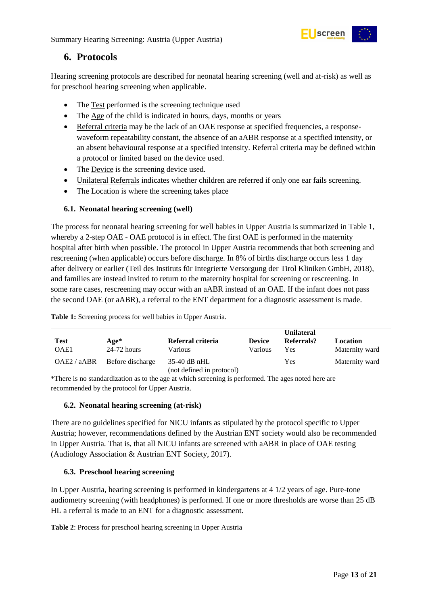

### <span id="page-12-0"></span>**6. Protocols**

Hearing screening protocols are described for neonatal hearing screening (well and at-risk) as well as for preschool hearing screening when applicable.

- The Test performed is the screening technique used
- The Age of the child is indicated in hours, days, months or years
- Referral criteria may be the lack of an OAE response at specified frequencies, a responsewaveform repeatability constant, the absence of an aABR response at a specified intensity, or an absent behavioural response at a specified intensity. Referral criteria may be defined within a protocol or limited based on the device used.
- The Device is the screening device used.
- Unilateral Referrals indicates whether children are referred if only one ear fails screening.
- The Location is where the screening takes place

#### <span id="page-12-1"></span>**6.1. Neonatal hearing screening (well)**

The process for neonatal hearing screening for well babies in Upper Austria is summarized in Table 1, whereby a 2-step OAE - OAE protocol is in effect. The first OAE is performed in the maternity hospital after birth when possible. The protocol in Upper Austria recommends that both screening and rescreening (when applicable) occurs before discharge. In 8% of births discharge occurs less 1 day after delivery or earlier (Teil des Instituts für Integrierte Versorgung der Tirol Kliniken GmbH, 2018), and families are instead invited to return to the maternity hospital for screening or rescreening. In some rare cases, rescreening may occur with an aABR instead of an OAE. If the infant does not pass the second OAE (or aABR), a referral to the ENT department for a diagnostic assessment is made.

|             |                  |                                             |               | <b>Unilateral</b> |                |
|-------------|------------------|---------------------------------------------|---------------|-------------------|----------------|
| <b>Test</b> | Age*             | Referral criteria                           | <b>Device</b> | Referrals?        | Location       |
| OAE1        | $24-72$ hours    | Various                                     | Various       | Yes               | Maternity ward |
| OAE2 / aABR | Before discharge | $35-40$ dB nHL<br>(not defined in protocol) |               | Yes               | Maternity ward |

<span id="page-12-4"></span>**Table 1:** Screening process for well babies in Upper Austria.

\*There is no standardization as to the age at which screening is performed. The ages noted here are recommended by the protocol for Upper Austria.

#### <span id="page-12-2"></span>**6.2. Neonatal hearing screening (at-risk)**

There are no guidelines specified for NICU infants as stipulated by the protocol specific to Upper Austria; however, recommendations defined by the Austrian ENT society would also be recommended in Upper Austria. That is, that all NICU infants are screened with aABR in place of OAE testing (Audiology Association & Austrian ENT Society, 2017).

#### <span id="page-12-3"></span>**6.3. Preschool hearing screening**

In Upper Austria, hearing screening is performed in kindergartens at 4 1/2 years of age. Pure-tone audiometry screening (with headphones) is performed. If one or more thresholds are worse than 25 dB HL a referral is made to an ENT for a diagnostic assessment.

<span id="page-12-5"></span>**Table 2**: Process for preschool hearing screening in Upper Austria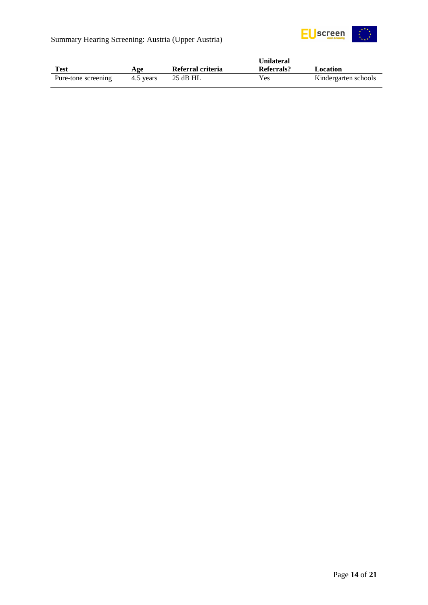

|                     |           |                   | Unilateral |                      |
|---------------------|-----------|-------------------|------------|----------------------|
| Test                | Age       | Referral criteria | Referrals? | Location             |
| Pure-tone screening | 4.5 years | $25$ dB HL        | Yes        | Kindergarten schools |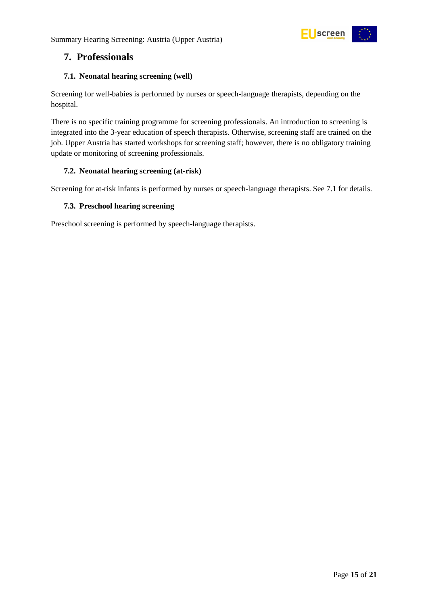

# <span id="page-14-0"></span>**7. Professionals**

#### <span id="page-14-1"></span>**7.1. Neonatal hearing screening (well)**

Screening for well-babies is performed by nurses or speech-language therapists, depending on the hospital.

There is no specific training programme for screening professionals. An introduction to screening is integrated into the 3-year education of speech therapists. Otherwise, screening staff are trained on the job. Upper Austria has started workshops for screening staff; however, there is no obligatory training update or monitoring of screening professionals.

#### <span id="page-14-2"></span>**7.2. Neonatal hearing screening (at-risk)**

Screening for at-risk infants is performed by nurses or speech-language therapists. See 7.1 for details.

#### <span id="page-14-3"></span>**7.3. Preschool hearing screening**

Preschool screening is performed by speech-language therapists.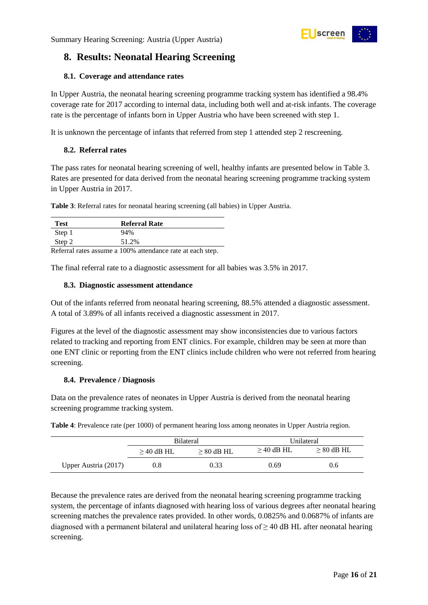<span id="page-15-0"></span>

#### <span id="page-15-1"></span>**8.1. Coverage and attendance rates**

In Upper Austria, the neonatal hearing screening programme tracking system has identified a 98.4% coverage rate for 2017 according to internal data, including both well and at-risk infants. The coverage rate is the percentage of infants born in Upper Austria who have been screened with step 1.

screen

It is unknown the percentage of infants that referred from step 1 attended step 2 rescreening.

#### <span id="page-15-2"></span>**8.2. Referral rates**

The pass rates for neonatal hearing screening of well, healthy infants are presented below in Table 3. Rates are presented for data derived from the neonatal hearing screening programme tracking system in Upper Austria in 2017.

<span id="page-15-5"></span>**Table 3**: Referral rates for neonatal hearing screening (all babies) in Upper Austria.

| <b>Test</b> | Referral Rate                                                    |
|-------------|------------------------------------------------------------------|
| Step 1      | 94%                                                              |
| Step 2      | 51.2%                                                            |
|             | <b>Deferral rates assume a 100% attendance rate at each stop</b> |

Referral rates assume a 100% attendance rate at each step.

The final referral rate to a diagnostic assessment for all babies was 3.5% in 2017.

#### <span id="page-15-3"></span>**8.3. Diagnostic assessment attendance**

Out of the infants referred from neonatal hearing screening, 88.5% attended a diagnostic assessment. A total of 3.89% of all infants received a diagnostic assessment in 2017.

Figures at the level of the diagnostic assessment may show inconsistencies due to various factors related to tracking and reporting from ENT clinics. For example, children may be seen at more than one ENT clinic or reporting from the ENT clinics include children who were not referred from hearing screening.

#### <span id="page-15-4"></span>**8.4. Prevalence / Diagnosis**

Data on the prevalence rates of neonates in Upper Austria is derived from the neonatal hearing screening programme tracking system.

<span id="page-15-6"></span>**Table 4**: Prevalence rate (per 1000) of permanent hearing loss among neonates in Upper Austria region.

|                      | <b>Bilateral</b> |              | Unilateral   |              |  |
|----------------------|------------------|--------------|--------------|--------------|--|
|                      | $>$ 40 dB HL     | $> 80$ dB HL | $>$ 40 dB HL | $> 80$ dB HL |  |
| Upper Austria (2017) | 0.8              | 0.33         | 0.69         | 0.6          |  |

Because the prevalence rates are derived from the neonatal hearing screening programme tracking system, the percentage of infants diagnosed with hearing loss of various degrees after neonatal hearing screening matches the prevalence rates provided. In other words, 0.0825% and 0.0687% of infants are diagnosed with a permanent bilateral and unilateral hearing loss of  $\geq$  40 dB HL after neonatal hearing screening.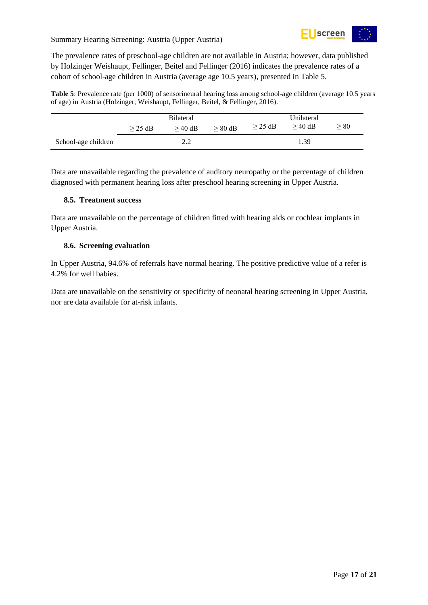

Summary Hearing Screening: Austria (Upper Austria)

The prevalence rates of preschool-age children are not available in Austria; however, data published by Holzinger Weishaupt, Fellinger, Beitel and Fellinger (2016) indicates the prevalence rates of a cohort of school-age children in Austria (average age 10.5 years), presented in Table 5.

<span id="page-16-2"></span>**Table 5**: Prevalence rate (per 1000) of sensorineural hearing loss among school-age children (average 10.5 years of age) in Austria (Holzinger, Weishaupt, Fellinger, Beitel, & Fellinger, 2016).

|                     | <b>Bilateral</b> |           |           | Unilateral   |           |      |
|---------------------|------------------|-----------|-----------|--------------|-----------|------|
|                     | $>$ 25 dB        | $>$ 40 dB | $> 80$ dB | $\geq$ 25 dB | $>$ 40 dB | > 80 |
| School-age children |                  | າ າ       |           |              | 1.39      |      |

Data are unavailable regarding the prevalence of auditory neuropathy or the percentage of children diagnosed with permanent hearing loss after preschool hearing screening in Upper Austria.

#### <span id="page-16-0"></span>**8.5. Treatment success**

Data are unavailable on the percentage of children fitted with hearing aids or cochlear implants in Upper Austria.

#### <span id="page-16-1"></span>**8.6. Screening evaluation**

In Upper Austria, 94.6% of referrals have normal hearing. The positive predictive value of a refer is 4.2% for well babies.

Data are unavailable on the sensitivity or specificity of neonatal hearing screening in Upper Austria, nor are data available for at-risk infants.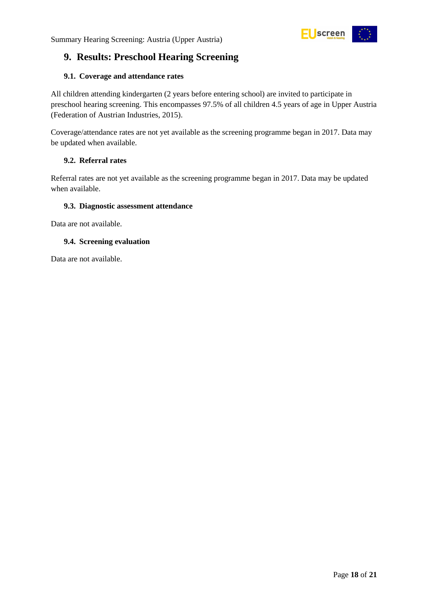

# <span id="page-17-0"></span>**9. Results: Preschool Hearing Screening**

#### <span id="page-17-1"></span>**9.1. Coverage and attendance rates**

All children attending kindergarten (2 years before entering school) are invited to participate in preschool hearing screening. This encompasses 97.5% of all children 4.5 years of age in Upper Austria (Federation of Austrian Industries, 2015).

Coverage/attendance rates are not yet available as the screening programme began in 2017. Data may be updated when available.

#### <span id="page-17-2"></span>**9.2. Referral rates**

Referral rates are not yet available as the screening programme began in 2017. Data may be updated when available.

#### <span id="page-17-3"></span>**9.3. Diagnostic assessment attendance**

Data are not available.

#### <span id="page-17-4"></span>**9.4. Screening evaluation**

Data are not available.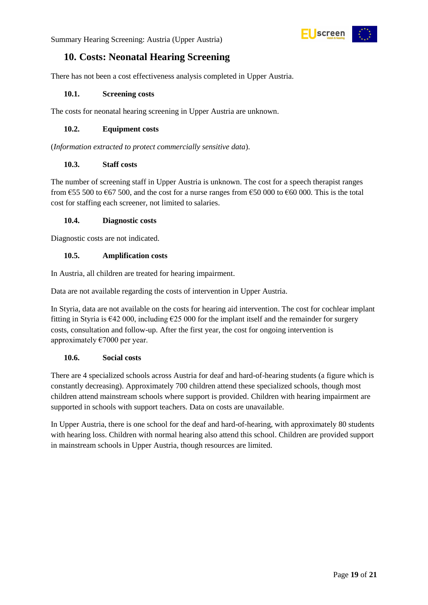

# <span id="page-18-0"></span>**10. Costs: Neonatal Hearing Screening**

There has not been a cost effectiveness analysis completed in Upper Austria.

#### <span id="page-18-1"></span>**10.1. Screening costs**

The costs for neonatal hearing screening in Upper Austria are unknown.

#### <span id="page-18-2"></span>**10.2. Equipment costs**

(*Information extracted to protect commercially sensitive data*).

#### <span id="page-18-3"></span>**10.3. Staff costs**

The number of screening staff in Upper Austria is unknown. The cost for a speech therapist ranges from  $\epsilon$ 55 500 to  $\epsilon$ 67 500, and the cost for a nurse ranges from  $\epsilon$ 50 000 to  $\epsilon$ 60 000. This is the total cost for staffing each screener, not limited to salaries.

#### <span id="page-18-4"></span>**10.4. Diagnostic costs**

Diagnostic costs are not indicated.

#### <span id="page-18-5"></span>**10.5. Amplification costs**

In Austria, all children are treated for hearing impairment.

Data are not available regarding the costs of intervention in Upper Austria.

In Styria, data are not available on the costs for hearing aid intervention. The cost for cochlear implant fitting in Styria is  $\epsilon$ 42 000, including  $\epsilon$ 25 000 for the implant itself and the remainder for surgery costs, consultation and follow-up. After the first year, the cost for ongoing intervention is approximately  $\epsilon$ 7000 per year.

#### <span id="page-18-6"></span>**10.6. Social costs**

There are 4 specialized schools across Austria for deaf and hard-of-hearing students (a figure which is constantly decreasing). Approximately 700 children attend these specialized schools, though most children attend mainstream schools where support is provided. Children with hearing impairment are supported in schools with support teachers. Data on costs are unavailable.

In Upper Austria, there is one school for the deaf and hard-of-hearing, with approximately 80 students with hearing loss. Children with normal hearing also attend this school. Children are provided support in mainstream schools in Upper Austria, though resources are limited.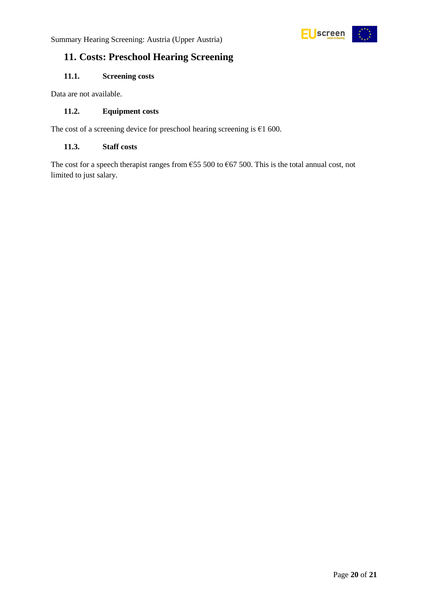

# <span id="page-19-0"></span>**11. Costs: Preschool Hearing Screening**

#### <span id="page-19-1"></span>**11.1. Screening costs**

Data are not available.

#### <span id="page-19-2"></span>**11.2. Equipment costs**

The cost of a screening device for preschool hearing screening is  $€1$  600.

#### <span id="page-19-3"></span>**11.3. Staff costs**

The cost for a speech therapist ranges from  $655 500$  to  $667 500$ . This is the total annual cost, not limited to just salary.